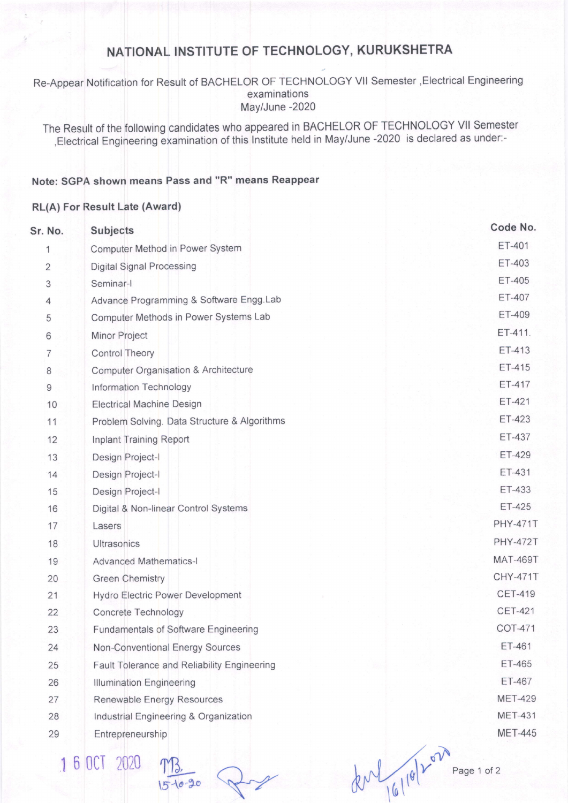## NATIONAL INSTITUTE OF TECHNOLOGY, KURUKSHETRA

Re-Appear Notification for Result of BACHELOR OF TECHNOLOGY VII Semester , Electrical Engineering examinations May/June -2020

The Result of the following candidates who appeared in BACHELOR OF TECHNOLOGY VII Semester , Electrical Engineering examination of this Institute held in May/June -2020 is declared as under:-

## Note: SGPA shown means Pass and "R" means Reappear

## RL(A) For Result Late (Award)

| Sr. No.        | <b>Subjects</b>                              |                 |  |  |
|----------------|----------------------------------------------|-----------------|--|--|
| 1              | ET-401<br>Computer Method in Power System    |                 |  |  |
| $\overline{2}$ | <b>Digital Signal Processing</b>             | ET-403          |  |  |
| 3              | Seminar-I                                    | ET-405          |  |  |
| 4              | Advance Programming & Software Engg.Lab      | ET-407          |  |  |
| 5              | Computer Methods in Power Systems Lab        | ET-409          |  |  |
| 6              | Minor Project                                | ET-411.         |  |  |
| 7              | <b>Control Theory</b>                        | ET-413          |  |  |
| 8              | Computer Organisation & Architecture         | ET-415          |  |  |
| $\overline{9}$ | Information Technology                       | ET-417          |  |  |
| 10             | <b>Electrical Machine Design</b>             | ET-421          |  |  |
| 11             | Problem Solving. Data Structure & Algorithms | ET-423          |  |  |
| 12             | Inplant Training Report                      | ET-437          |  |  |
| 13             | Design Project-I                             | ET-429          |  |  |
| 14             | Design Project-I                             | ET-431          |  |  |
| 15             | Design Project-I                             | ET-433          |  |  |
| 16             | Digital & Non-linear Control Systems         | ET-425          |  |  |
| 17             | Lasers                                       | <b>PHY-471T</b> |  |  |
| 18             | Ultrasonics                                  | <b>PHY-472T</b> |  |  |
| 19             | <b>Advanced Mathematics-I</b>                | <b>MAT-469T</b> |  |  |
| 20             | <b>Green Chemistry</b>                       | <b>CHY-471T</b> |  |  |
| 21             | Hydro Electric Power Development             | <b>CET-419</b>  |  |  |
| 22             | Concrete Technology                          | <b>CET-421</b>  |  |  |
| 23             | <b>Fundamentals of Software Engineering</b>  | COT-471         |  |  |
| 24             | Non-Conventional Energy Sources              | ET-461          |  |  |
| 25             | Fault Tolerance and Reliability Engineering  | ET-465          |  |  |
| 26             | <b>Illumination Engineering</b>              | ET-467          |  |  |
| 27             | Renewable Energy Resources                   | <b>MET-429</b>  |  |  |
| 28             | Industrial Engineering & Organization        | <b>MET-431</b>  |  |  |
| 29             | Entrepreneurship                             | <b>MET-445</b>  |  |  |
|                | C OCT DOOD                                   |                 |  |  |

 $100120$ 

 $-90$ 

Page 1 of 2

den 16/10/